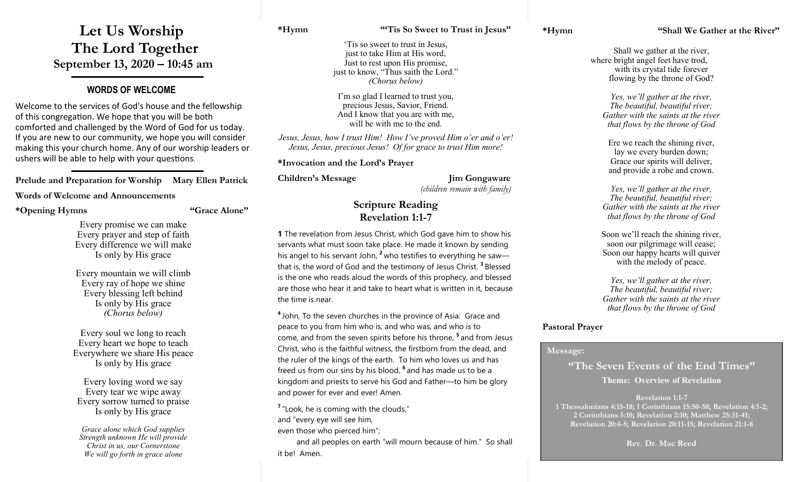## **Let Us Worship The Lord Together September 13, 2020 – 10:45 am**

#### **WORDS OF WELCOME**

Welcome to the services of God's house and the fellowship of this congregation. We hope that you will be both comforted and challenged by the Word of God for us today. If you are new to our community, we hope you will consider making this your church home. Any of our worship leaders or ushers will be able to help with your questions.

**Prelude and Preparation for Worship Mary Ellen Patrick**

#### **Words of Welcome and Announcements**

**\*Opening Hymns "Grace Alone"**

Every promise we can make Every prayer and step of faith Every difference we will make Is only by His grace

Every mountain we will climb Every ray of hope we shine Every blessing left behind Is only by His grace *(Chorus below)*

Every soul we long to reach Every heart we hope to teach Everywhere we share His peace Is only by His grace

Every loving word we say Every tear we wipe away Every sorrow turned to praise Is only by His grace

*Grace alone which God supplies Strength unknown He will provide Christ in us, our Cornerstone We will go forth in grace alone*

#### **\*Hymn "'Tis So Sweet to Trust in Jesus"**

'Tis so sweet to trust in Jesus, just to take Him at His word, Just to rest upon His promise, just to know, "Thus saith the Lord." *(Chorus below)*

I'm so glad I learned to trust you, precious Jesus, Savior, Friend. And I know that you are with me, will be with me to the end.

*Jesus, Jesus, how I trust Him! How I've proved Him o'er and o'er! Jesus, Jesus, precious Jesus! Of for grace to trust Him more!*

**\*Invocation and the Lord's Prayer** 

**Children's Message Jim Gongaware**

*(children remain with family)*

#### **Scripture Reading Revelation 1:1-7**

**1** The revelation from Jesus Christ, which God gave him to show his servants what must soon take place. He made it known by sending his angel to his servant John, **<sup>2</sup>** who testifies to everything he saw that is, the word of God and the testimony of Jesus Christ. **<sup>3</sup>** Blessed is the one who reads aloud the words of this prophecy, and blessed are those who hear it and take to heart what is written in it, because the time is near.

**4** John, To the seven churches in the province of Asia: Grace and peace to you from him who is, and who was, and who is to come, and from the seven spirits before his throne, **<sup>5</sup>** and from Jesus Christ, who is the faithful witness, the firstborn from the dead, and the ruler of the kings of the earth. To him who loves us and has freed us from our sins by his blood, **<sup>6</sup>** and has made us to be a kingdom and priests to serve his God and Father—to him be glory and power for ever and ever! Amen.

<sup>7</sup> "Look, he is coming with the clouds,"

and "every eye will see him,

even those who pierced him";

 and all peoples on earth "will mourn because of him." So shall it be! Amen.

Shall we gather at the river, where bright angel feet have trod, with its crystal tide forever flowing by the throne of God?

> *Yes, we'll gather at the river, The beautiful, beautiful river; Gather with the saints at the river that flows by the throne of God*

Ere we reach the shining river, lay we every burden down; Grace our spirits will deliver, and provide a robe and crown.

*Yes, we'll gather at the river, The beautiful, beautiful river; Gather with the saints at the river that flows by the throne of God*

Soon we'll reach the shining river, soon our pilgrimage will cease; Soon our happy hearts will quiver with the melody of peace.

*Yes, we'll gather at the river, The beautiful, beautiful river; Gather with the saints at the river that flows by the throne of God*

#### **Pastoral Prayer**

#### **Message:**

**"The Seven Events of the End Times" Theme: Overview of Revelation**

**Revelation 1:1-7 1 Thessalonians 4:15-18; 1 Corinthians 15:50-58; Revelation 4:1-2; 2 Corinthians 5:10; Revelation 2:10; Matthew 25:31-41; Revelation 20:4-5; Revelation 20:11-15; Revelation 21:1-8**

**Rev. Dr. Mac Reed**